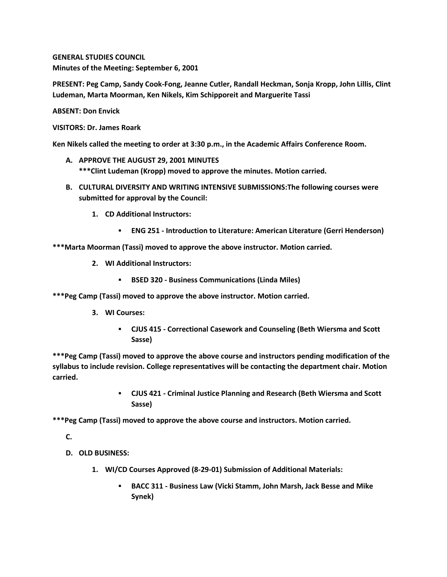**GENERAL STUDIES COUNCIL Minutes of the Meeting: September 6, 2001**

**PRESENT: Peg Camp, Sandy Cook-Fong, Jeanne Cutler, Randall Heckman, Sonja Kropp, John Lillis, Clint Ludeman, Marta Moorman, Ken Nikels, Kim Schipporeit and Marguerite Tassi**

**ABSENT: Don Envick**

**VISITORS: Dr. James Roark**

**Ken Nikels called the meeting to order at 3:30 p.m., in the Academic Affairs Conference Room.**

- **A. APPROVE THE AUGUST 29, 2001 MINUTES \*\*\*Clint Ludeman (Kropp) moved to approve the minutes. Motion carried.**
- **B. CULTURAL DIVERSITY AND WRITING INTENSIVE SUBMISSIONS:The following courses were submitted for approval by the Council:** 
	- **1. CD Additional Instructors:** 
		- **ENG 251 - Introduction to Literature: American Literature (Gerri Henderson)**

**\*\*\*Marta Moorman (Tassi) moved to approve the above instructor. Motion carried.**

- **2. WI Additional Instructors:** 
	- **BSED 320 - Business Communications (Linda Miles)**

**\*\*\*Peg Camp (Tassi) moved to approve the above instructor. Motion carried.**

- **3. WI Courses:** 
	- **CJUS 415 - Correctional Casework and Counseling (Beth Wiersma and Scott Sasse)**

**\*\*\*Peg Camp (Tassi) moved to approve the above course and instructors pending modification of the syllabus to include revision. College representatives will be contacting the department chair. Motion carried.** 

> **CJUS 421 - Criminal Justice Planning and Research (Beth Wiersma and Scott Sasse)**

**\*\*\*Peg Camp (Tassi) moved to approve the above course and instructors. Motion carried.**

**C.**

- **D. OLD BUSINESS:**
	- **1. WI/CD Courses Approved (8-29-01) Submission of Additional Materials:** 
		- **BACC 311 - Business Law (Vicki Stamm, John Marsh, Jack Besse and Mike Synek)**